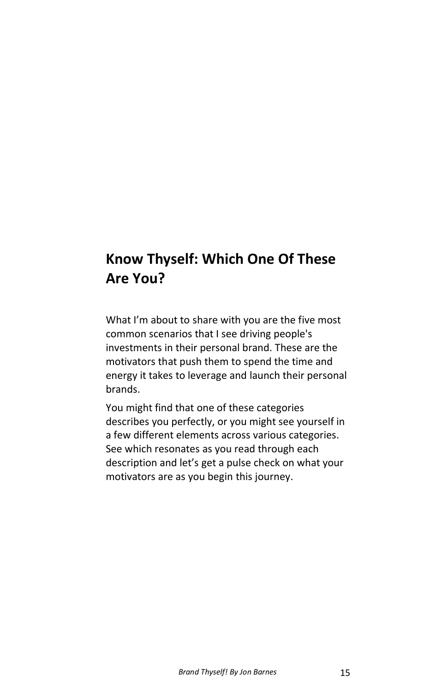### **Know Thyself: Which One Of These Are You?**

What I'm about to share with you are the five most common scenarios that I see driving people's investments in their personal brand. These are the motivators that push them to spend the time and energy it takes to leverage and launch their personal brands.

You might find that one of these categories describes you perfectly, or you might see yourself in a few different elements across various categories. See which resonates as you read through each description and let's get a pulse check on what your motivators are as you begin this journey.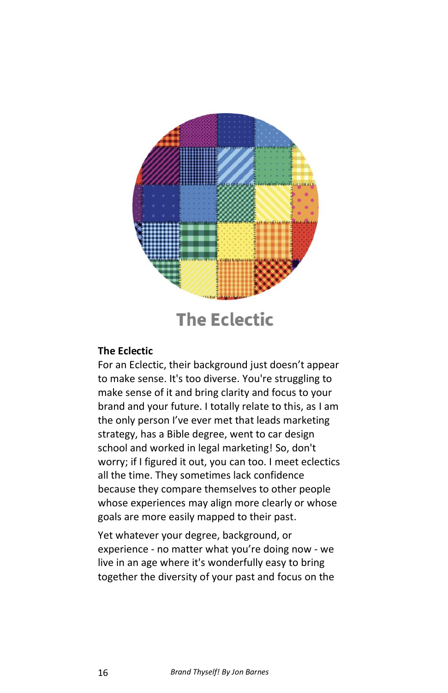

### **The Eclectic**

#### **The Eclectic**

For an Eclectic, their background just doesn't appear to make sense. It's too diverse. You're struggling to make sense of it and bring clarity and focus to your brand and your future. I totally relate to this, as I am the only person I've ever met that leads marketing strategy, has a Bible degree, went to car design school and worked in legal marketing! So, don't worry; if I figured it out, you can too. I meet eclectics all the time. They sometimes lack confidence because they compare themselves to other people whose experiences may align more clearly or whose goals are more easily mapped to their past.

Yet whatever your degree, background, or experience - no matter what you're doing now - we live in an age where it's wonderfully easy to bring together the diversity of your past and focus on the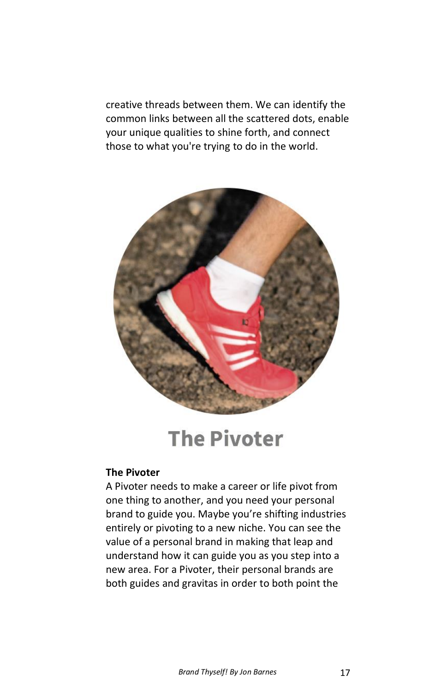creative threads between them. We can identify the common links between all the scattered dots, enable your unique qualities to shine forth, and connect those to what you're trying to do in the world.



# **The Pivoter**

#### **The Pivoter**

A Pivoter needs to make a career or life pivot from one thing to another, and you need your personal brand to guide you. Maybe you're shifting industries entirely or pivoting to a new niche. You can see the value of a personal brand in making that leap and understand how it can guide you as you step into a new area. For a Pivoter, their personal brands are both guides and gravitas in order to both point the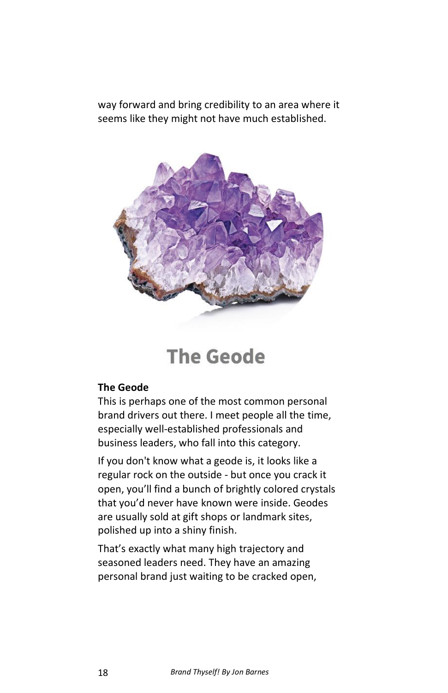way forward and bring credibility to an area where it seems like they might not have much established.



## **The Geode**

#### **The Geode**

This is perhaps one of the most common personal brand drivers out there. I meet people all the time, especially well-established professionals and business leaders, who fall into this category.

If you don't know what a geode is, it looks like a regular rock on the outside - but once you crack it open, you'll find a bunch of brightly colored crystals that you'd never have known were inside. Geodes are usually sold at gift shops or landmark sites, polished up into a shiny finish.

That's exactly what many high trajectory and seasoned leaders need. They have an amazing personal brand just waiting to be cracked open,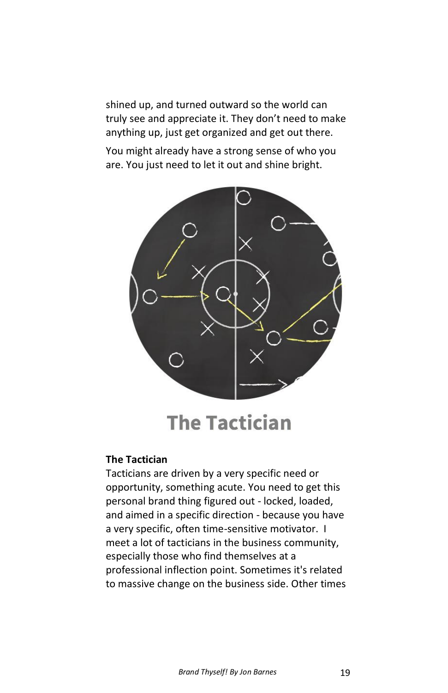shined up, and turned outward so the world can truly see and appreciate it. They don't need to make anything up, just get organized and get out there.

You might already have a strong sense of who you are. You just need to let it out and shine bright.



## **The Tactician**

#### **The Tactician**

Tacticians are driven by a very specific need or opportunity, something acute. You need to get this personal brand thing figured out - locked, loaded, and aimed in a specific direction - because you have a very specific, often time-sensitive motivator. I meet a lot of tacticians in the business community, especially those who find themselves at a professional inflection point. Sometimes it's related to massive change on the business side. Other times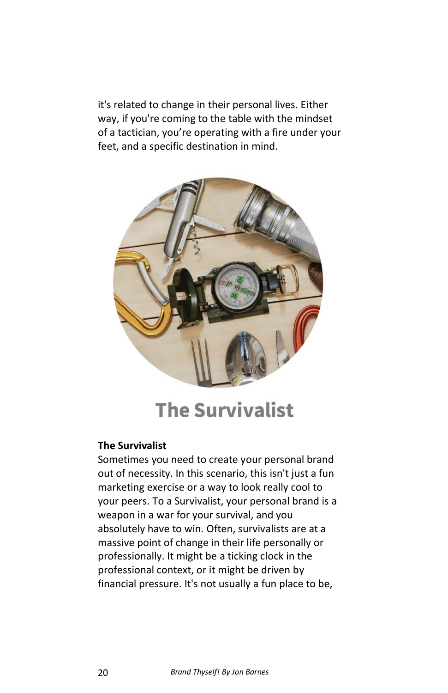it's related to change in their personal lives. Either way, if you're coming to the table with the mindset of a tactician, you're operating with a fire under your feet, and a specific destination in mind.



## **The Survivalist**

#### **The Survivalist**

Sometimes you need to create your personal brand out of necessity. In this scenario, this isn't just a fun marketing exercise or a way to look really cool to your peers. To a Survivalist, your personal brand is a weapon in a war for your survival, and you absolutely have to win. Often, survivalists are at a massive point of change in their life personally or professionally. It might be a ticking clock in the professional context, or it might be driven by financial pressure. It's not usually a fun place to be,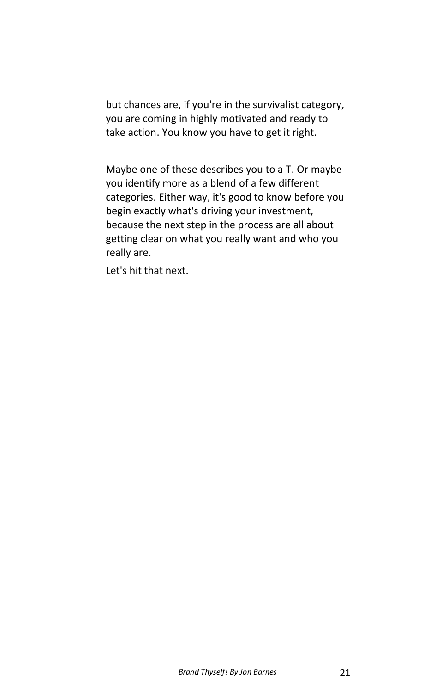but chances are, if you're in the survivalist category, you are coming in highly motivated and ready to take action. You know you have to get it right.

Maybe one of these describes you to a T. Or maybe you identify more as a blend of a few different categories. Either way, it's good to know before you begin exactly what's driving your investment, because the next step in the process are all about getting clear on what you really want and who you really are.

Let's hit that next.